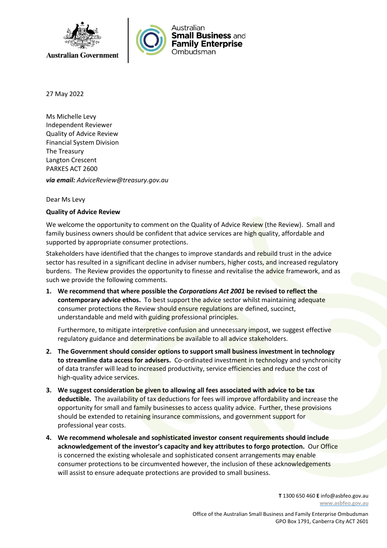



27 May 2022

Ms Michelle Levy Independent Reviewer Quality of Advice Review Financial System Division The Treasury Langton Crescent PARKES ACT 2600

*via email: AdviceReview@treasury.gov.au*

## Dear Ms Levy

## **Quality of Advice Review**

We welcome the opportunity to comment on the Quality of Advice Review (the Review). Small and family business owners should be confident that advice services are high quality, affordable and supported by appropriate consumer protections.

Stakeholders have identified that the changes to improve standards and rebuild trust in the advice sector has resulted in a significant decline in adviser numbers, higher costs, and increased regulatory burdens. The Review provides the opportunity to finesse and revitalise the advice framework, and as such we provide the following comments.

**1. We recommend that where possible the** *Corporations Act 2001* **be revised to reflect the contemporary advice ethos.** To best support the advice sector whilst maintaining adequate consumer protections the Review should ensure regulations are defined, succinct, understandable and meld with guiding professional principles.

Furthermore, to mitigate interpretive confusion and unnecessary impost, we suggest effective regulatory guidance and determinations be available to all advice stakeholders.

- **2. The Government should consider options to support small business investment in technology to streamline data access for advisers.** Co-ordinated investment in technology and synchronicity of data transfer will lead to increased productivity, service efficiencies and reduce the cost of high-quality advice services.
- **3. We suggest consideration be given to allowing all fees associated with advice to be tax deductible.** The availability of tax deductions for fees will improve affordability and increase the opportunity for small and family businesses to access quality advice. Further, these provisions should be extended to retaining insurance commissions, and government support for professional year costs.
- **4. We recommend wholesale and sophisticated investor consent requirements should include acknowledgement of the investor's capacity and key attributes to forgo protection.** Our Office is concerned the existing wholesale and sophisticated consent arrangements may enable consumer protections to be circumvented however, the inclusion of these acknowledgements will assist to ensure adequate protections are provided to small business.